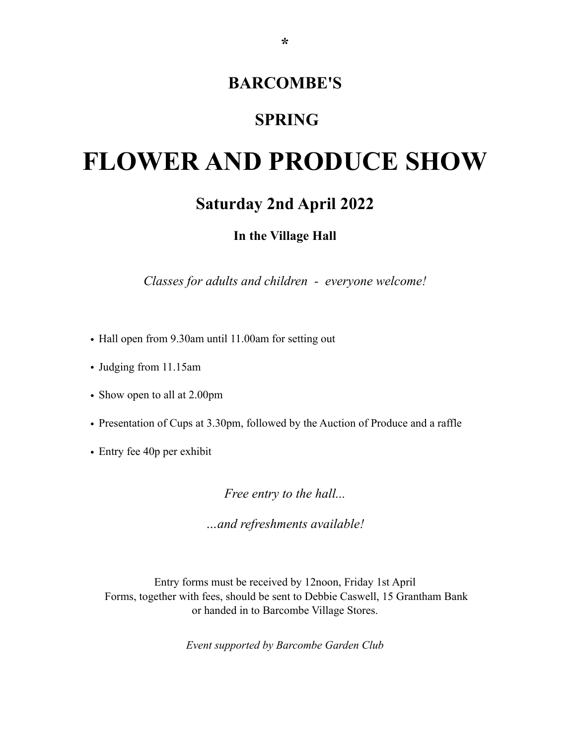# **BARCOMBE'S**

# **SPRING**

# **FLOWER AND PRODUCE SHOW**

# **Saturday 2nd April 2022**

**In the Village Hall**

*Classes for adults and children - everyone welcome!*

- Hall open from 9.30am until 11.00am for setting out
- Judging from 11.15am
- Show open to all at 2.00pm
- Presentation of Cups at 3.30pm, followed by the Auction of Produce and a raffle
- Entry fee 40p per exhibit

*Free entry to the hall...*

*…and refreshments available!* 

Entry forms must be received by 12noon, Friday 1st April Forms, together with fees, should be sent to Debbie Caswell, 15 Grantham Bank or handed in to Barcombe Village Stores.

*Event supported by Barcombe Garden Club*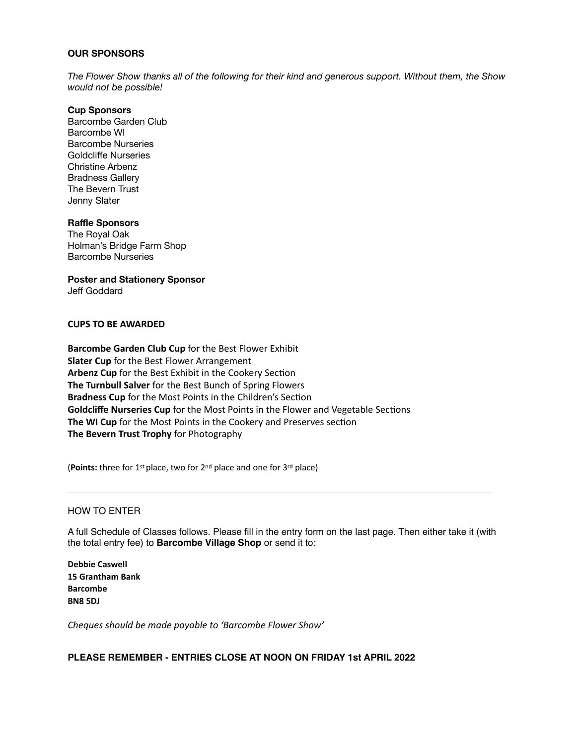#### **OUR SPONSORS**

*The Flower Show thanks all of the following for their kind and generous support. Without them, the Show would not be possible!*

#### **Cup Sponsors**

Barcombe Garden Club Barcombe WI Barcombe Nurseries Goldcliffe Nurseries Christine Arbenz Bradness Gallery The Bevern Trust Jenny Slater

#### **Raffle Sponsors**

The Royal Oak Holman's Bridge Farm Shop Barcombe Nurseries

**Poster and Stationery Sponsor** 

Jeff Goddard

#### **CUPS TO BE AWARDED**

**Barcombe Garden Club Cup** for the Best Flower Exhibit **Slater Cup** for the Best Flower Arrangement Arbenz Cup for the Best Exhibit in the Cookery Section **The Turnbull Salver** for the Best Bunch of Spring Flowers **Bradness Cup** for the Most Points in the Children's Section **Goldcliffe Nurseries Cup** for the Most Points in the Flower and Vegetable Sections **The WI Cup** for the Most Points in the Cookery and Preserves section **The Bevern Trust Trophy** for Photography

(**Points:** three for 1<sup>st</sup> place, two for 2<sup>nd</sup> place and one for 3<sup>rd</sup> place)

#### HOW TO ENTER

A full Schedule of Classes follows. Please fill in the entry form on the last page. Then either take it (with the total entry fee) to **Barcombe Village Shop** or send it to:

**Debbie Caswell 15 Grantham Bank Barcombe BN8 5DJ**

*Cheques should be made payable to 'Barcombe Flower Show'*

#### **PLEASE REMEMBER - ENTRIES CLOSE AT NOON ON FRIDAY 1st APRIL 2022**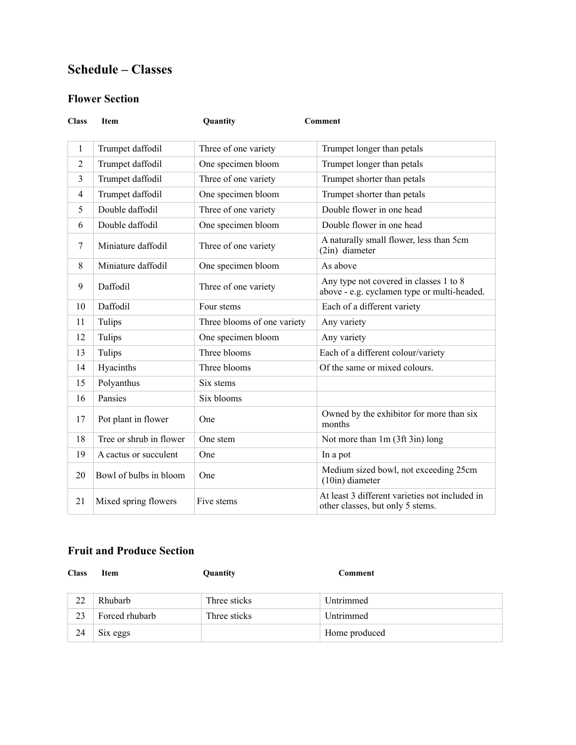# **Schedule – Classes**

## **Flower Section**

| <b>Class</b>   | <b>Item</b>             | Quantity                    | <b>Comment</b>                                                                        |
|----------------|-------------------------|-----------------------------|---------------------------------------------------------------------------------------|
|                |                         |                             |                                                                                       |
| $\mathbf{1}$   | Trumpet daffodil        | Three of one variety        | Trumpet longer than petals                                                            |
| $\overline{2}$ | Trumpet daffodil        | One specimen bloom          | Trumpet longer than petals                                                            |
| 3              | Trumpet daffodil        | Three of one variety        | Trumpet shorter than petals                                                           |
| $\overline{4}$ | Trumpet daffodil        | One specimen bloom          | Trumpet shorter than petals                                                           |
| 5              | Double daffodil         | Three of one variety        | Double flower in one head                                                             |
| 6              | Double daffodil         | One specimen bloom          | Double flower in one head                                                             |
| $\overline{7}$ | Miniature daffodil      | Three of one variety        | A naturally small flower, less than 5cm<br>(2in) diameter                             |
| 8              | Miniature daffodil      | One specimen bloom          | As above                                                                              |
| 9              | Daffodil                | Three of one variety        | Any type not covered in classes 1 to 8<br>above - e.g. cyclamen type or multi-headed. |
| 10             | Daffodil                | Four stems                  | Each of a different variety                                                           |
| 11             | Tulips                  | Three blooms of one variety | Any variety                                                                           |
| 12             | Tulips                  | One specimen bloom          | Any variety                                                                           |
| 13             | Tulips                  | Three blooms                | Each of a different colour/variety                                                    |
| 14             | Hyacinths               | Three blooms                | Of the same or mixed colours.                                                         |
| 15             | Polyanthus              | Six stems                   |                                                                                       |
| 16             | Pansies                 | Six blooms                  |                                                                                       |
| 17             | Pot plant in flower     | One                         | Owned by the exhibitor for more than six<br>months                                    |
| 18             | Tree or shrub in flower | One stem                    | Not more than 1m (3ft 3in) long                                                       |
| 19             | A cactus or succulent   | One                         | In a pot                                                                              |
| 20             | Bowl of bulbs in bloom  | One                         | Medium sized bowl, not exceeding 25cm<br>(10in) diameter                              |
| 21             | Mixed spring flowers    | Five stems                  | At least 3 different varieties not included in<br>other classes, but only 5 stems.    |

## **Fruit and Produce Section**

| <b>Class</b> | Item           | Quantity     | Comment       |
|--------------|----------------|--------------|---------------|
| 22           | Rhubarb        | Three sticks | Untrimmed     |
| 23           | Forced rhubarb | Three sticks | Untrimmed     |
| 24           | Six eggs       |              | Home produced |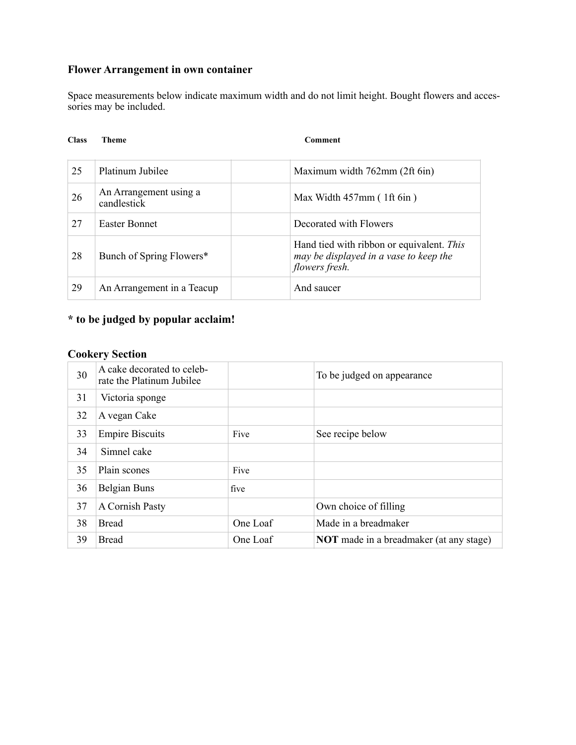## **Flower Arrangement in own container**

Space measurements below indicate maximum width and do not limit height. Bought flowers and accessories may be included.

#### **Class Theme Comment**

| 25 | Platinum Jubilee                      | Maximum width 762mm (2ft 6in)                                                                         |
|----|---------------------------------------|-------------------------------------------------------------------------------------------------------|
| 26 | An Arrangement using a<br>candlestick | Max Width $457$ mm (1ft 6in)                                                                          |
| 27 | Easter Bonnet                         | Decorated with Flowers                                                                                |
| 28 | Bunch of Spring Flowers*              | Hand tied with ribbon or equivalent. This<br>may be displayed in a vase to keep the<br>flowers fresh. |
| 29 | An Arrangement in a Teacup            | And saucer                                                                                            |

# **\* to be judged by popular acclaim!**

## **Cookery Section**

| 30 | A cake decorated to celeb-<br>rate the Platinum Jubilee |          | To be judged on appearance                     |
|----|---------------------------------------------------------|----------|------------------------------------------------|
| 31 | Victoria sponge                                         |          |                                                |
| 32 | A vegan Cake                                            |          |                                                |
| 33 | <b>Empire Biscuits</b>                                  | Five     | See recipe below                               |
| 34 | Simnel cake                                             |          |                                                |
| 35 | Plain scones                                            | Five     |                                                |
| 36 | Belgian Buns                                            | five     |                                                |
| 37 | A Cornish Pasty                                         |          | Own choice of filling                          |
| 38 | <b>Bread</b>                                            | One Loaf | Made in a breadmaker                           |
| 39 | <b>Bread</b>                                            | One Loaf | <b>NOT</b> made in a breadmaker (at any stage) |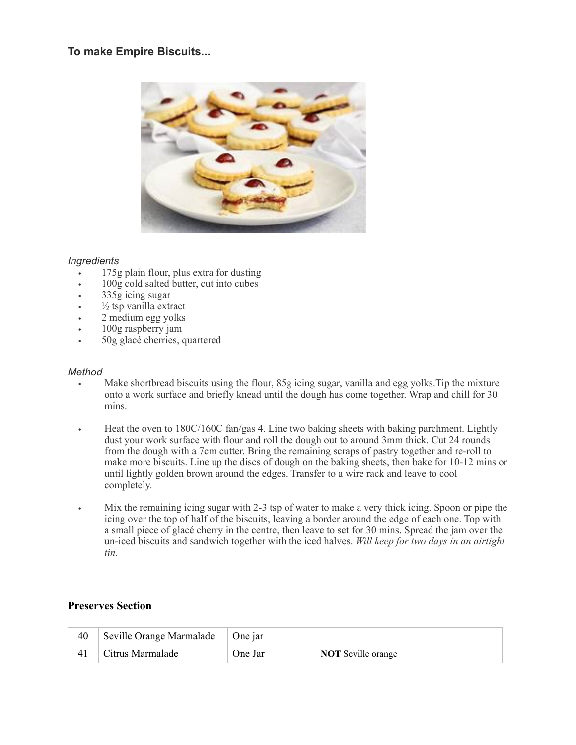## **To make Empire Biscuits...**



#### *Ingredients*

- 175g plain flour, plus extra for dusting
- 100g cold salted butter, cut into cubes
- 335g icing sugar
- $\frac{1}{2}$  tsp vanilla extract
- 2 medium egg yolks
- 100g raspberry jam
- 50g glacé cherries, quartered

#### *Method*

- Make shortbread biscuits using the flour, 85g icing sugar, vanilla and egg yolks. Tip the mixture onto a work surface and briefly knead until the dough has come together. Wrap and chill for 30 mins.
- **•** Heat the oven to 180C/160C fan/gas 4. Line two baking sheets with baking parchment. Lightly dust your work surface with flour and roll the dough out to around 3mm thick. Cut 24 rounds from the dough with a 7cm cutter. Bring the remaining scraps of pastry together and re-roll to make more biscuits. Line up the discs of dough on the baking sheets, then bake for 10-12 mins or until lightly golden brown around the edges. Transfer to a wire rack and leave to cool completely.
- **•** Mix the remaining icing sugar with 2-3 tsp of water to make a very thick icing. Spoon or pipe the icing over the top of half of the biscuits, leaving a border around the edge of each one. Top with a small piece of glacé cherry in the centre, then leave to set for 30 mins. Spread the jam over the un-iced biscuits and sandwich together with the iced halves. *Will keep for two days in an airtight tin.*

## **Preserves Section**

| Seville Orange Marmalade   One jar |         |                           |
|------------------------------------|---------|---------------------------|
| Citrus Marmalade                   | One Jar | <b>NOT</b> Seville orange |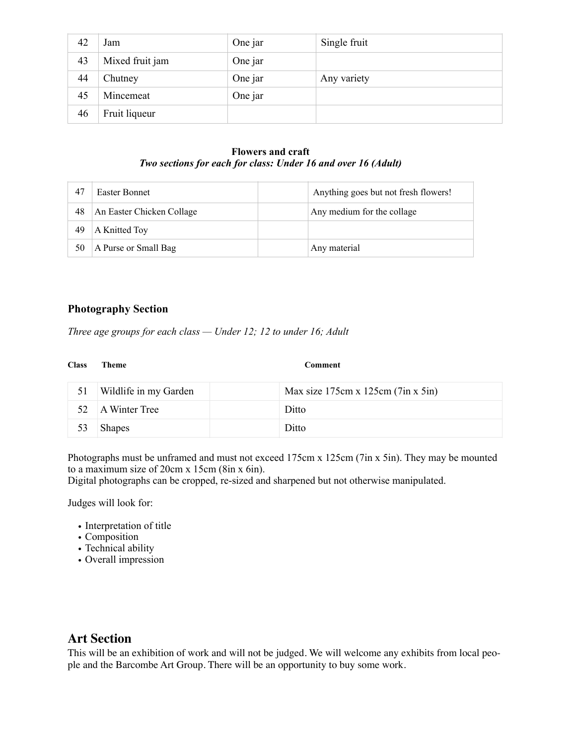| 42 | Jam             | One jar | Single fruit |
|----|-----------------|---------|--------------|
| 43 | Mixed fruit jam | One jar |              |
| 44 | Chutney         | One jar | Any variety  |
| 45 | Mincemeat       | One jar |              |
| 46 | Fruit liqueur   |         |              |

#### **Flowers and craft** *Two sections for each for class: Under 16 and over 16 (Adult)*

| 47 | Easter Bonnet             | Anything goes but not fresh flowers! |
|----|---------------------------|--------------------------------------|
| 48 | An Easter Chicken Collage | Any medium for the collage           |
| 49 | A Knitted Toy             |                                      |
| 50 | A Purse or Small Bag      | Any material                         |

#### **Photography Section**

*Three age groups for each class — Under 12; 12 to under 16; Adult*

**Comment** 

|    | Wildlife in my Garden | Max size $175cm x 125cm (7in x 5in)$ |
|----|-----------------------|--------------------------------------|
|    | 52 A Winter Tree      | Ditto                                |
| 53 | <b>Shapes</b>         | Ditto                                |

Photographs must be unframed and must not exceed 175cm x 125cm (7in x 5in). They may be mounted to a maximum size of 20cm x 15cm (8in x 6in).

Digital photographs can be cropped, re-sized and sharpened but not otherwise manipulated.

Judges will look for:

- Interpretation of title
- Composition
- Technical ability
- Overall impression

## **Art Section**

This will be an exhibition of work and will not be judged. We will welcome any exhibits from local people and the Barcombe Art Group. There will be an opportunity to buy some work.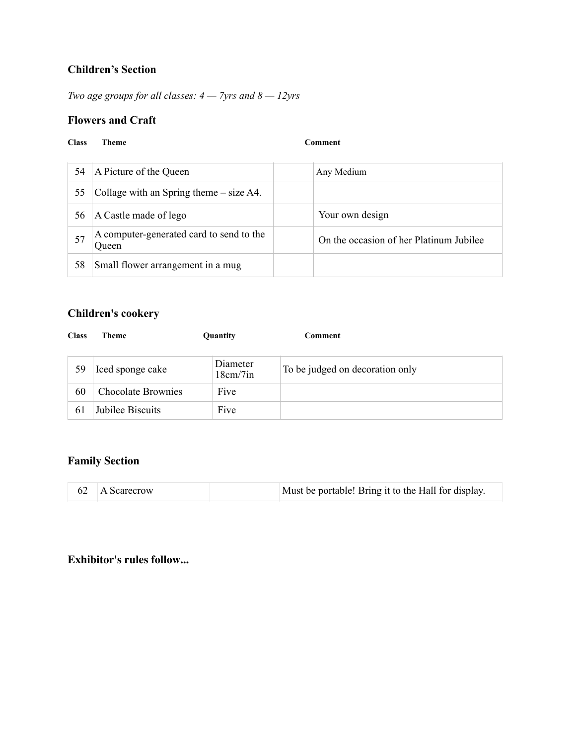## **Children's Section**

*Two age groups for all classes: 4 — 7yrs and 8 — 12yrs*

## **Flowers and Craft**

#### **Class Theme Comment**

| 54 | A Picture of the Queen                                   | Any Medium                              |
|----|----------------------------------------------------------|-----------------------------------------|
| 55 | Collage with an Spring theme $-$ size A4.                |                                         |
| 56 | A Castle made of lego                                    | Your own design                         |
|    | A computer-generated card to send to the<br><b>Oueen</b> | On the occasion of her Platinum Jubilee |
| 58 | Small flower arrangement in a mug                        |                                         |

## **Children's cookery**

| <b>Class</b> | Theme                     | Quantity             | Comment                         |
|--------------|---------------------------|----------------------|---------------------------------|
| 59           | Iced sponge cake          | Diameter<br>18cm/7in | To be judged on decoration only |
| 60           | <b>Chocolate Brownies</b> | Five                 |                                 |
| 61           | Jubilee Biscuits          | Five                 |                                 |

## **Family Section**

|  |  | 62 A Scarecrow | Must be portable! Bring it to the Hall for display. |
|--|--|----------------|-----------------------------------------------------|
|--|--|----------------|-----------------------------------------------------|

## **Exhibitor's rules follow...**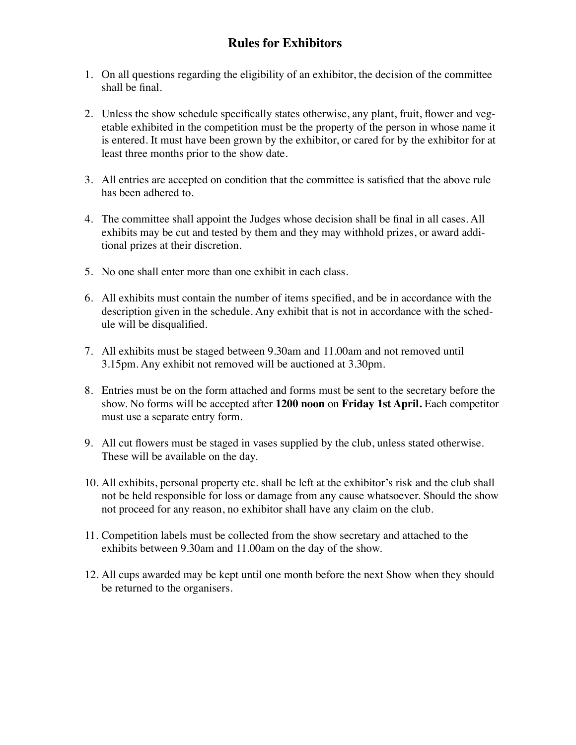# **Rules for Exhibitors**

- 1. On all questions regarding the eligibility of an exhibitor, the decision of the committee shall be final.
- 2. Unless the show schedule specifically states otherwise, any plant, fruit, flower and vegetable exhibited in the competition must be the property of the person in whose name it is entered. It must have been grown by the exhibitor, or cared for by the exhibitor for at least three months prior to the show date.
- 3. All entries are accepted on condition that the committee is satisfied that the above rule has been adhered to.
- 4. The committee shall appoint the Judges whose decision shall be final in all cases. All exhibits may be cut and tested by them and they may withhold prizes, or award additional prizes at their discretion.
- 5. No one shall enter more than one exhibit in each class.
- 6. All exhibits must contain the number of items specified, and be in accordance with the description given in the schedule. Any exhibit that is not in accordance with the schedule will be disqualified.
- 7. All exhibits must be staged between 9.30am and 11.00am and not removed until 3.15pm. Any exhibit not removed will be auctioned at 3.30pm.
- 8. Entries must be on the form attached and forms must be sent to the secretary before the show. No forms will be accepted after **1200 noon** on **Friday 1st April.** Each competitor must use a separate entry form.
- 9. All cut flowers must be staged in vases supplied by the club, unless stated otherwise. These will be available on the day.
- 10. All exhibits, personal property etc. shall be left at the exhibitor's risk and the club shall not be held responsible for loss or damage from any cause whatsoever. Should the show not proceed for any reason, no exhibitor shall have any claim on the club.
- 11. Competition labels must be collected from the show secretary and attached to the exhibits between 9.30am and 11.00am on the day of the show.
- 12. All cups awarded may be kept until one month before the next Show when they should be returned to the organisers.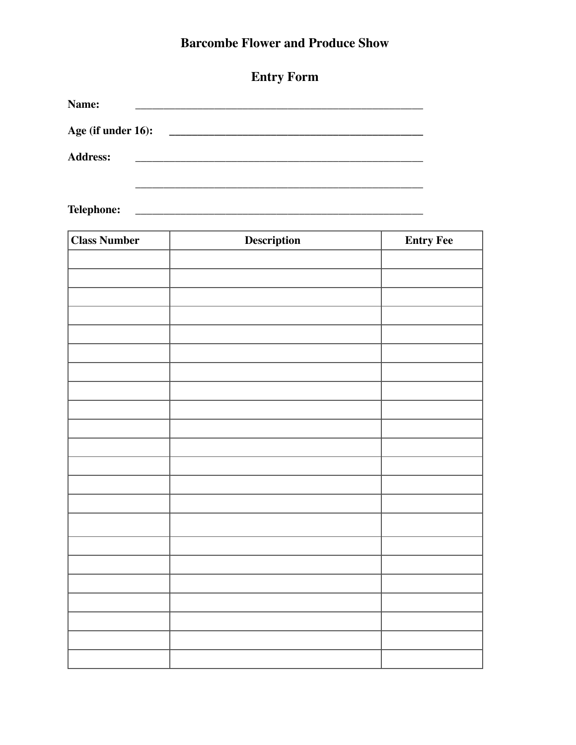# **Barcombe Flower and Produce Show**

| Name:              |                                                  |
|--------------------|--------------------------------------------------|
| Age (if under 16): | <u> 1980 - Jan James James Barbara, martin d</u> |
| <b>Address:</b>    |                                                  |
|                    |                                                  |

| <b>Class Number</b> | Description | <b>Entry Fee</b> |
|---------------------|-------------|------------------|
|                     |             |                  |
|                     |             |                  |
|                     |             |                  |
|                     |             |                  |
|                     |             |                  |
|                     |             |                  |
|                     |             |                  |
|                     |             |                  |
|                     |             |                  |
|                     |             |                  |
|                     |             |                  |
|                     |             |                  |
|                     |             |                  |
|                     |             |                  |
|                     |             |                  |
|                     |             |                  |
|                     |             |                  |
|                     |             |                  |
|                     |             |                  |
|                     |             |                  |
|                     |             |                  |
|                     |             |                  |